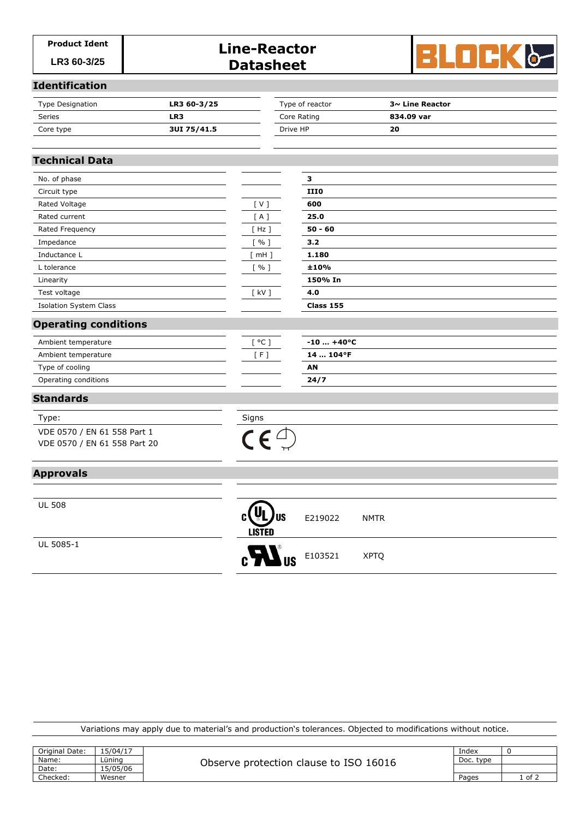# Product Ident<br>
LR3 60-3/25 **Datasheet**



#### **Identification**

| LR3 60-3/25<br><b>Type Designation</b> |             | Type of reactor | $3\sim$ Line Reactor |
|----------------------------------------|-------------|-----------------|----------------------|
| Series                                 | LR3         | Core Rating     | 834.09 var           |
| Core type                              | 3UI 75/41.5 | Drive HP        | 20                   |

# **Technical Data**

| No. of phase                  |            | з           |  |
|-------------------------------|------------|-------------|--|
| Circuit type                  |            | <b>III0</b> |  |
| Rated Voltage                 | [V]        | 600         |  |
| Rated current                 | [A]        | 25.0        |  |
| Rated Frequency               | $[$ Hz $]$ | $50 - 60$   |  |
| Impedance                     | [%]        | 3.2         |  |
| Inductance L                  | $[$ mH $]$ | 1.180       |  |
| L tolerance                   | $[$ % $]$  | ±10%        |  |
| Linearity                     |            | 150% In     |  |
| Test voltage                  | $[$ kV $]$ | 4.0         |  |
| <b>Isolation System Class</b> |            | Class 155   |  |
| <b>Operating conditions</b>   |            |             |  |
| Ambient temperature           | [°C]       | $-10+40°C$  |  |
| Ambient temperature           | [F]        | 14  104°F   |  |
| Type of cooling               |            | AN          |  |
| Operating conditions          |            | 24/7        |  |

### **Standards**

Type: Signs VDE 0570 / EN 61 558 Part 1 VDE 0570 / EN 61 558 Part 20



# **Approvals**

UL 508

UL 5085-1

| US<br><b>LISTED</b>                     | E219022      | <b>NMTR</b> |  |
|-----------------------------------------|--------------|-------------|--|
| $c$ <b>y</b> $\mathbf{W}$ <sub>us</sub> | E103521 XPTQ |             |  |

Variations may apply due to material's and production's tolerances. Objected to modifications without notice.

| Original Date: | 15/04/17 | Observe protection clause to ISO 16016 | Index     |      |
|----------------|----------|----------------------------------------|-----------|------|
| Name:          | Lünina   |                                        | Doc. type |      |
| Date:          | 15/05/06 |                                        |           |      |
| Checked:       | Wesner   |                                        | Pages     | of 2 |